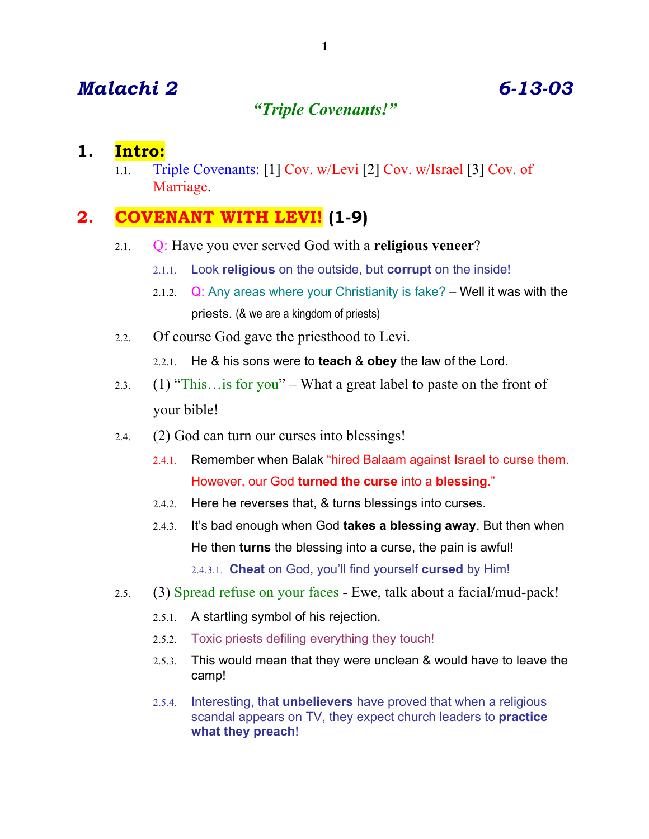# *Malachi 2 6-13-03*

# *"Triple Covenants!"*

### **1. Intro:**

1.1. Triple Covenants: [1] Cov. w/Levi [2] Cov. w/Israel [3] Cov. of Marriage.

# **2. COVENANT WITH LEVI! (1-9)**

- 2.1. Q: Have you ever served God with a **religious veneer**?
	- 2.1.1. Look **religious** on the outside, but **corrupt** on the inside!
	- 2.1.2.  $Q: Any areas where your Christianity is fake? Well it was with the$ priests. (& we are a kingdom of priests)
- 2.2. Of course God gave the priesthood to Levi.
	- 2.2.1. He & his sons were to **teach** & **obey** the law of the Lord.
- 2.3. (1) "This…is for you" What a great label to paste on the front of your bible!
- 2.4. (2) God can turn our curses into blessings!
	- 2.4.1. Remember when Balak "hired Balaam against Israel to curse them. However, our God **turned the curse** into a **blessing**."
	- 2.4.2. Here he reverses that, & turns blessings into curses.
	- 2.4.3. It's bad enough when God **takes a blessing away**. But then when He then **turns** the blessing into a curse, the pain is awful! 2.4.3.1. **Cheat** on God, you'll find yourself **cursed** by Him!
- 2.5. (3) Spread refuse on your faces Ewe, talk about a facial/mud-pack!
	- 2.5.1. A startling symbol of his rejection.
	- 2.5.2. Toxic priests defiling everything they touch!
	- 2.5.3. This would mean that they were unclean & would have to leave the camp!
	- 2.5.4. Interesting, that **unbelievers** have proved that when a religious scandal appears on TV, they expect church leaders to **practice what they preach**!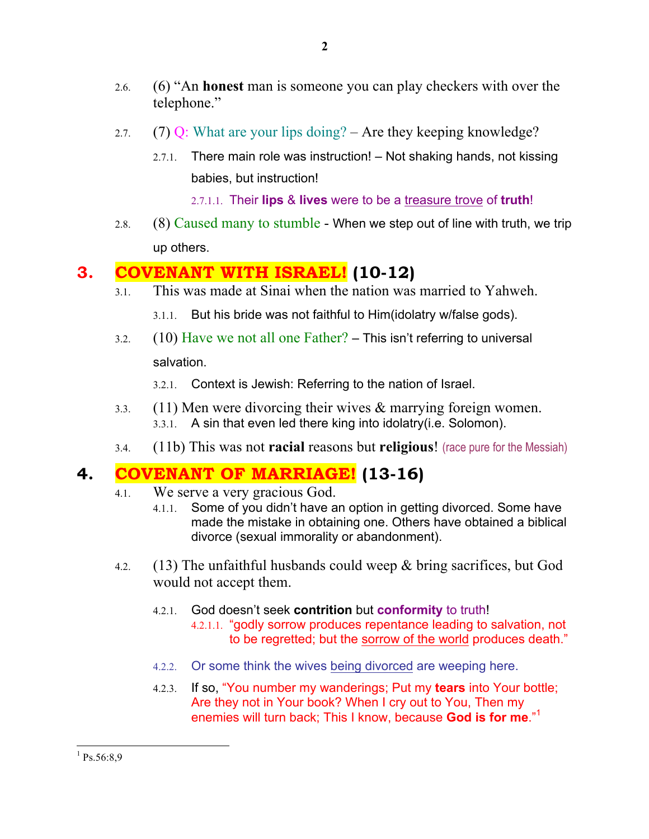- 2.6. (6) "An **honest** man is someone you can play checkers with over the telephone."
- 2.7. (7) Q: What are your lips doing? Are they keeping knowledge?
	- 2.7.1. There main role was instruction! Not shaking hands, not kissing babies, but instruction!

2.7.1.1. Their **lips** & **lives** were to be a treasure trove of **truth**!

2.8.  $(8)$  Caused many to stumble - When we step out of line with truth, we trip up others.

# **3. COVENANT WITH ISRAEL! (10-12)**

3.1. This was made at Sinai when the nation was married to Yahweh.

3.1.1. But his bride was not faithful to Him(idolatry w/false gods).

3.2.  $(10)$  Have we not all one Father? – This isn't referring to universal salvation.

3.2.1. Context is Jewish: Referring to the nation of Israel.

- 3.3. (11) Men were divorcing their wives & marrying foreign women. 3.3.1. A sin that even led there king into idolatry(i.e. Solomon).
- 3.4. (11b) This was not **racial** reasons but **religious**! (race pure for the Messiah)

# **4. COVENANT OF MARRIAGE! (13-16)**

- 4.1. We serve a very gracious God.
	- 4.1.1. Some of you didn't have an option in getting divorced. Some have made the mistake in obtaining one. Others have obtained a biblical divorce (sexual immorality or abandonment).
- 4.2. (13) The unfaithful husbands could weep  $\&$  bring sacrifices, but God would not accept them.
	- 4.2.1. God doesn't seek **contrition** but **conformity** to truth! 4.2.1.1. "godly sorrow produces repentance leading to salvation, not to be regretted; but the sorrow of the world produces death."
	- 4.2.2. Or some think the wives being divorced are weeping here.
	- 4.2.3. If so, "You number my wanderings; Put my **tears** into Your bottle; Are they not in Your book? When I cry out to You, Then my enemies will turn back; This I know, because **God is for me**."1

 $^{1}$  Ps.56:8,9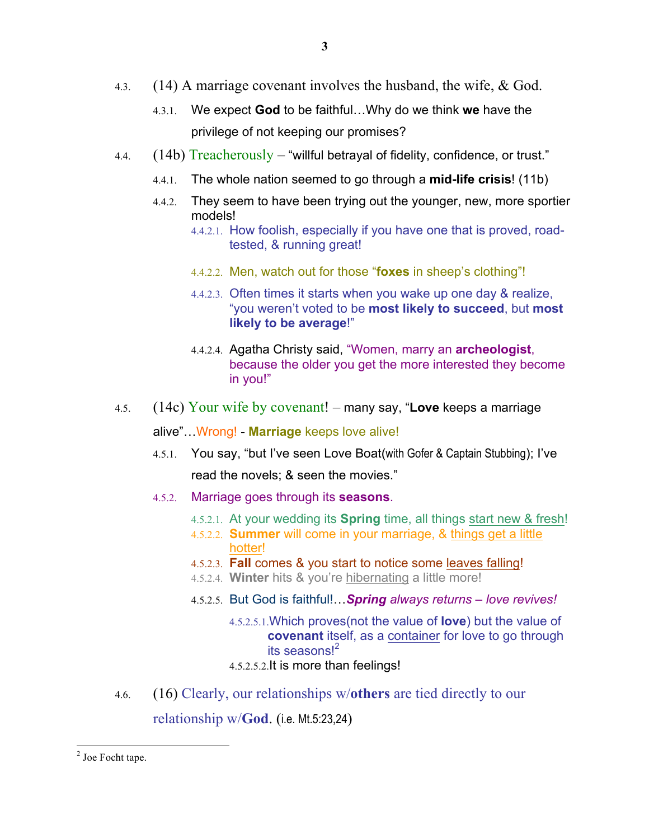- 4.3. (14) A marriage covenant involves the husband, the wife, & God.
	- 4.3.1. We expect **God** to be faithful…Why do we think **we** have the privilege of not keeping our promises?
- 4.4.  $(14b)$  Treacherously "willful betrayal of fidelity, confidence, or trust."
	- 4.4.1. The whole nation seemed to go through a **mid-life crisis**! (11b)
	- 4.4.2. They seem to have been trying out the younger, new, more sportier models!
		- 4.4.2.1. How foolish, especially if you have one that is proved, roadtested, & running great!
		- 4.4.2.2. Men, watch out for those "**foxes** in sheep's clothing"!
		- 4.4.2.3. Often times it starts when you wake up one day & realize, "you weren't voted to be **most likely to succeed**, but **most likely to be average**!"
		- 4.4.2.4. Agatha Christy said, "Women, marry an **archeologist**, because the older you get the more interested they become in you!"
- 4.5. (14c) Your wife by covenant! many say, "**Love** keeps a marriage

alive"…Wrong! - **Marriage** keeps love alive!

- 4.5.1. You say, "but I've seen Love Boat(with Gofer & Captain Stubbing); I've read the novels; & seen the movies."
- 4.5.2. Marriage goes through its **seasons**.
	- 4.5.2.1. At your wedding its **Spring** time, all things start new & fresh!
	- 4.5.2.2. **Summer** will come in your marriage, & things get a little hotter!
	- 4.5.2.3. **Fall** comes & you start to notice some leaves falling!
	- 4.5.2.4. **Winter** hits & you're hibernating a little more!
	- 4.5.2.5. But God is faithful!…*Spring always returns – love revives!*
		- 4.5.2.5.1.Which proves(not the value of **love**) but the value of **covenant** itself, as a container for love to go through its seasons<sup>12</sup>

#### 4.5.2.5.2.It is more than feelings!

4.6. (16) Clearly, our relationships w/**others** are tied directly to our

relationship w/**God**. (i.e. Mt.5:23,24)

<sup>&</sup>lt;sup>2</sup> Joe Focht tape.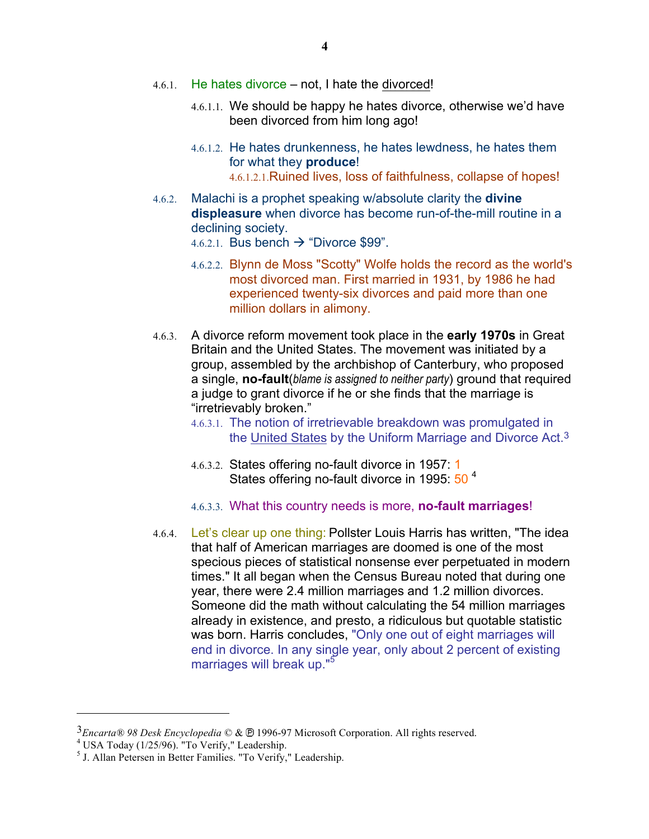- 4.6.1. He hates divorce not, I hate the divorced!
	- 4.6.1.1. We should be happy he hates divorce, otherwise we'd have been divorced from him long ago!
	- 4.6.1.2. He hates drunkenness, he hates lewdness, he hates them for what they **produce**! 4.6.1.2.1.Ruined lives, loss of faithfulness, collapse of hopes!
- 4.6.2. Malachi is a prophet speaking w/absolute clarity the **divine displeasure** when divorce has become run-of-the-mill routine in a declining society.
	- 4.6.2.1. Bus bench  $\rightarrow$  "Divorce \$99".
	- 4.6.2.2. Blynn de Moss "Scotty" Wolfe holds the record as the world's most divorced man. First married in 1931, by 1986 he had experienced twenty-six divorces and paid more than one million dollars in alimony.
- 4.6.3. A divorce reform movement took place in the **early 1970s** in Great Britain and the United States. The movement was initiated by a group, assembled by the archbishop of Canterbury, who proposed a single, **no-fault**(*blame is assigned to neither party*) ground that required a judge to grant divorce if he or she finds that the marriage is "irretrievably broken."
	- 4.6.3.1. The notion of irretrievable breakdown was promulgated in the United States by the Uniform Marriage and Divorce Act.3
	- 4.6.3.2. States offering no-fault divorce in 1957: 1 States offering no-fault divorce in 1995: 50<sup>4</sup>
	- 4.6.3.3. What this country needs is more, **no-fault marriages**!
- 4.6.4. Let's clear up one thing: Pollster Louis Harris has written, "The idea that half of American marriages are doomed is one of the most specious pieces of statistical nonsense ever perpetuated in modern times." It all began when the Census Bureau noted that during one year, there were 2.4 million marriages and 1.2 million divorces. Someone did the math without calculating the 54 million marriages already in existence, and presto, a ridiculous but quotable statistic was born. Harris concludes, "Only one out of eight marriages will end in divorce. In any single year, only about 2 percent of existing marriages will break up."<sup>5</sup>

 $\overline{a}$ 

<sup>&</sup>lt;sup>3</sup>*Encarta® 98 Desk Encyclopedia* © & <sup>®</sup> 1996-97 Microsoft Corporation. All rights reserved.<br><sup>4</sup> USA Today (1/25/96). "To Verify," Leadership. <sup>5</sup> J. Allan Petersen in Better Families. "To Verify," Leadership.